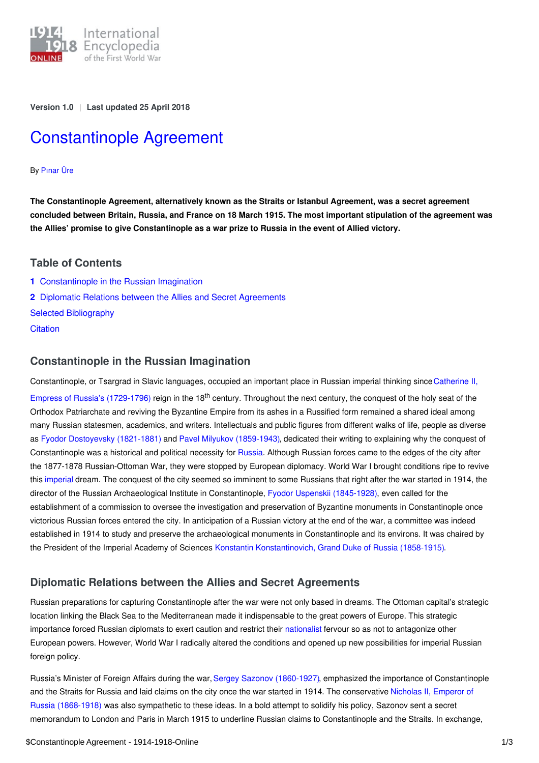

**Version 1.0** | **Last updated 25 April 2018**

# [Constantinople](https://encyclopedia.1914-1918-online.net/article/constantinople_agreement) Agreement

## By [Pınar](https://encyclopedia.1914-1918-online.net/contributors/Pinar_Ure) Üre

**The Constantinople Agreement, alternatively known as the Straits or Istanbul Agreement, was a secret agreement** concluded between Britain, Russia, and France on 18 March 1915. The most important stipulation of the agreement was the Allies' promise to give Constantinople as a war prize to Russia in the event of Allied victory.

## **Table of Contents**

**1** [Constantinople](#page-0-0) in the Russian Imagination **2** Diplomatic Relations between the Allies and Secret [Agreements](#page-0-1) Selected [Bibliography](#page-1-0)

**[Citation](#page-1-1)** 

## <span id="page-0-0"></span>**Constantinople in the Russian Imagination**

[Constantinople,](http://ui:CeDiS1418@encyclopedia.1914-1918-online.net/index/names/118560565) or Tsargrad in Slavic languages, occupied an important place in Russian imperial thinking since Catherine II, Empress of Russia's (1729-1796) reign in the 18<sup>th</sup> century. Throughout the next century, the conquest of the holy seat of the Orthodox Patriarchate and reviving the Byzantine Empire from its ashes in a Russified form remained a shared ideal among many Russian statesmen, academics, and writers. Intellectuals and public figures from different walks of life, people as diverse as Fyodor [Dostoyevsky](http://ui:CeDiS1418@encyclopedia.1914-1918-online.net/index/names/118527053) (1821-1881) and Pavel Milyukov [\(1859-1943\)](http://ui:CeDiS1418@encyclopedia.1914-1918-online.net/index/names/118641093), dedicated their writing to explaining why the conquest of Constantinople was a historical and political necessity for [Russia](http://ui:CeDiS1418@encyclopedia.1914-1918-online.net/article/russian_empire). Although Russian forces came to the edges of the city after the 1877-1878 Russian-Ottoman War, they were stopped by European diplomacy. World War I brought conditions ripe to revive this [imperial](http://ui:CeDiS1418@encyclopedia.1914-1918-online.net/article/imperialism) dream. The conquest of the city seemed so imminent to some Russians that right after the war started in 1914, the director of the Russian Archaeological Institute in Constantinople, Fyodor Uspenskii [\(1845-1928\)](http://ui:CeDiS1418@encyclopedia.1914-1918-online.net/index/names/117322687), even called for the establishment of a commission to oversee the investigation and preservation of Byzantine monuments in Constantinople once victorious Russian forces entered the city. In anticipation of a Russian victory at the end of the war, a committee was indeed established in 1914 to study and preserve the archaeological monuments in Constantinople and its environs. It was chaired by the President of the Imperial Academy of Sciences Konstantin [Konstantinovich,](http://ui:CeDiS1418@encyclopedia.1914-1918-online.net/index/names/119502526) Grand Duke of Russia (1858-1915).

# <span id="page-0-1"></span>**Diplomatic Relations between the Allies and Secret Agreements**

Russian preparations for capturing Constantinople after the war were not only based in dreams. The Ottoman capital's strategic location linking the Black Sea to the Mediterranean made it indispensable to the great powers of Europe. This strategic importance forced Russian diplomats to exert caution and restrict their [nationalist](http://ui:CeDiS1418@encyclopedia.1914-1918-online.net/article/nationalism) fervour so as not to antagonize other European powers. However, World War I radically altered the conditions and opened up new possibilities for imperial Russian foreign policy.

Russia's Minister of Foreign Affairs during the war, Sergey Sazonov [\(1860-1927\),](http://ui:CeDiS1418@encyclopedia.1914-1918-online.net/index/names/118794612) emphasized the importance of Constantinople and the Straits for Russia and laid claims on the city once the war started in 1914. The [conservative](http://ui:CeDiS1418@encyclopedia.1914-1918-online.net/index/names/11873492X) Nicholas II, Emperor of Russia (1868-1918) was also sympathetic to these ideas. In a bold attempt to solidify his policy, Sazonov sent a secret memorandum to London and Paris in March 1915 to underline Russian claims to Constantinople and the Straits. In exchange,